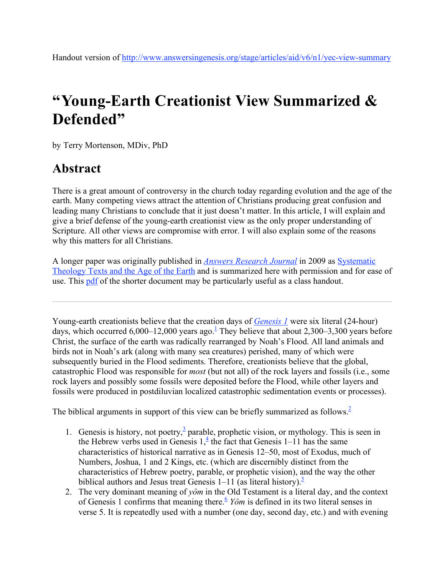# **"Young-Earth Creationist View Summarized & Defended"**

by Terry Mortenson, MDiv, PhD

# **Abstract**

There is a great amount of controversy in the church today regarding evolution and the age of the earth. Many competing views attract the attention of Christians producing great confusion and leading many Christians to conclude that it just doesn't matter. In this article, I will explain and give a brief defense of the young-earth creationist view as the only proper understanding of Scripture. All other views are compromise with error. I will also explain some of the reasons why this matters for all Christians.

A longer paper was originally published in *Answers Research Journal* in 2009 as Systematic Theology Texts and the Age of the Earth and is summarized here with permission and for ease of use. This pdf of the shorter document may be particularly useful as a class handout.

Young-earth creationists believe that the creation days of *Genesis 1* were six literal (24-hour) days, which occurred 6,000–12,000 years ago.<sup>1</sup> They believe that about 2,300–3,300 years before Christ, the surface of the earth was radically rearranged by Noah's Flood. All land animals and birds not in Noah's ark (along with many sea creatures) perished, many of which were subsequently buried in the Flood sediments. Therefore, creationists believe that the global, catastrophic Flood was responsible for *most* (but not all) of the rock layers and fossils (i.e., some rock layers and possibly some fossils were deposited before the Flood, while other layers and fossils were produced in postdiluvian localized catastrophic sedimentation events or processes).

The biblical arguments in support of this view can be briefly summarized as follows.<sup>2</sup>

- 1. Genesis is history, not poetry, $\frac{3}{2}$  parable, prophetic vision, or mythology. This is seen in the Hebrew verbs used in Genesis  $1, \frac{4}{5}$  the fact that Genesis 1–11 has the same characteristics of historical narrative as in Genesis 12–50, most of Exodus, much of Numbers, Joshua, 1 and 2 Kings, etc. (which are discernibly distinct from the characteristics of Hebrew poetry, parable, or prophetic vision), and the way the other biblical authors and Jesus treat Genesis  $1-11$  (as literal history).<sup>5</sup>
- 2. The very dominant meaning of *yôm* in the Old Testament is a literal day, and the context of Genesis 1 confirms that meaning there.<sup>6</sup> *Yôm* is defined in its two literal senses in verse 5. It is repeatedly used with a number (one day, second day, etc.) and with evening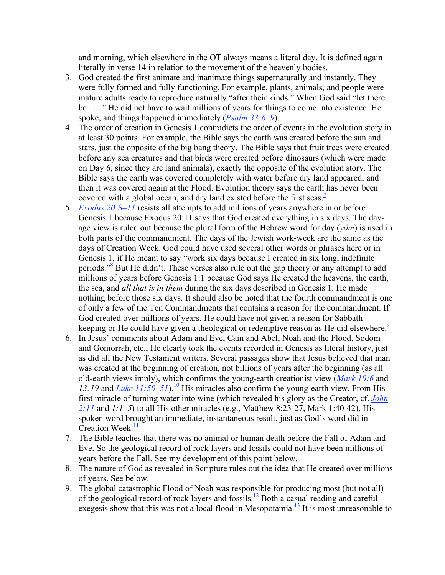and morning, which elsewhere in the OT always means a literal day. It is defined again literally in verse 14 in relation to the movement of the heavenly bodies.

- 3. God created the first animate and inanimate things supernaturally and instantly. They were fully formed and fully functioning. For example, plants, animals, and people were mature adults ready to reproduce naturally "after their kinds." When God said "let there be . . . " He did not have to wait millions of years for things to come into existence. He spoke, and things happened immediately (*Psalm 33:6–9*).
- 4. The order of creation in Genesis 1 contradicts the order of events in the evolution story in at least 30 points. For example, the Bible says the earth was created before the sun and stars, just the opposite of the big bang theory. The Bible says that fruit trees were created before any sea creatures and that birds were created before dinosaurs (which were made on Day 6, since they are land animals), exactly the opposite of the evolution story. The Bible says the earth was covered completely with water before dry land appeared, and then it was covered again at the Flood. Evolution theory says the earth has never been covered with a global ocean, and dry land existed before the first seas.<sup>7</sup>
- 5. *Exodus 20:8–11* resists all attempts to add millions of years anywhere in or before Genesis 1 because Exodus 20:11 says that God created everything in six days. The dayage view is ruled out because the plural form of the Hebrew word for day (*yôm*) is used in both parts of the commandment. The days of the Jewish work-week are the same as the days of Creation Week. God could have used several other words or phrases here or in Genesis 1, if He meant to say "work six days because I created in six long, indefinite periods."<sup>8</sup> But He didn't. These verses also rule out the gap theory or any attempt to add millions of years before Genesis 1:1 because God says He created the heavens, the earth, the sea, and *all that is in them* during the six days described in Genesis 1. He made nothing before those six days. It should also be noted that the fourth commandment is one of only a few of the Ten Commandments that contains a reason for the commandment. If God created over millions of years, He could have not given a reason for Sabbathkeeping or He could have given a theological or redemptive reason as He did elsewhere.<sup>9</sup>
- 6. In Jesus' comments about Adam and Eve, Cain and Abel, Noah and the Flood, Sodom and Gomorrah, etc., He clearly took the events recorded in Genesis as literal history, just as did all the New Testament writers. Several passages show that Jesus believed that man was created at the beginning of creation, not billions of years after the beginning (as all old-earth views imply), which confirms the young-earth creationist view (*Mark 10:6* and 13:19 and *Luke*  $11:50-51$ .<sup>10</sup> His miracles also confirm the young-earth view. From His first miracle of turning water into wine (which revealed his glory as the Creator, cf. *John 2:11* and *1:1–5*) to all His other miracles (e.g., Matthew 8:23-27, Mark 1:40-42), His spoken word brought an immediate, instantaneous result, just as God's word did in Creation Week. $\frac{11}{1}$
- 7. The Bible teaches that there was no animal or human death before the Fall of Adam and Eve. So the geological record of rock layers and fossils could not have been millions of years before the Fall. See my development of this point below.
- 8. The nature of God as revealed in Scripture rules out the idea that He created over millions of years. See below.
- 9. The global catastrophic Flood of Noah was responsible for producing most (but not all) of the geological record of rock layers and fossils.<sup>12</sup> Both a casual reading and careful exegesis show that this was not a local flood in Mesopotamia.<sup>13</sup> It is most unreasonable to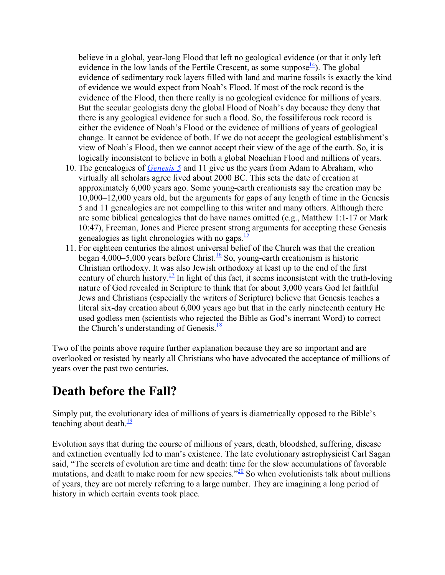believe in a global, year-long Flood that left no geological evidence (or that it only left evidence in the low lands of the Fertile Crescent, as some suppose  $\frac{14}{1}$ ). The global evidence of sedimentary rock layers filled with land and marine fossils is exactly the kind of evidence we would expect from Noah's Flood. If most of the rock record is the evidence of the Flood, then there really is no geological evidence for millions of years. But the secular geologists deny the global Flood of Noah's day because they deny that there is any geological evidence for such a flood. So, the fossiliferous rock record is either the evidence of Noah's Flood or the evidence of millions of years of geological change. It cannot be evidence of both. If we do not accept the geological establishment's view of Noah's Flood, then we cannot accept their view of the age of the earth. So, it is logically inconsistent to believe in both a global Noachian Flood and millions of years.

- 10. The genealogies of *Genesis 5* and 11 give us the years from Adam to Abraham, who virtually all scholars agree lived about 2000 BC. This sets the date of creation at approximately 6,000 years ago. Some young-earth creationists say the creation may be 10,000–12,000 years old, but the arguments for gaps of any length of time in the Genesis 5 and 11 genealogies are not compelling to this writer and many others. Although there are some biblical genealogies that do have names omitted (e.g., Matthew 1:1-17 or Mark 10:47), Freeman, Jones and Pierce present strong arguments for accepting these Genesis genealogies as tight chronologies with no gaps. $\frac{15}{2}$
- 11. For eighteen centuries the almost universal belief of the Church was that the creation began 4,000–5,000 years before Christ.<sup>16</sup> So, young-earth creationism is historic Christian orthodoxy. It was also Jewish orthodoxy at least up to the end of the first century of church history.<sup>17</sup> In light of this fact, it seems inconsistent with the truth-loving nature of God revealed in Scripture to think that for about 3,000 years God let faithful Jews and Christians (especially the writers of Scripture) believe that Genesis teaches a literal six-day creation about 6,000 years ago but that in the early nineteenth century He used godless men (scientists who rejected the Bible as God's inerrant Word) to correct the Church's understanding of Genesis. $\frac{18}{18}$

Two of the points above require further explanation because they are so important and are overlooked or resisted by nearly all Christians who have advocated the acceptance of millions of years over the past two centuries.

### **Death before the Fall?**

Simply put, the evolutionary idea of millions of years is diametrically opposed to the Bible's teaching about death. $\frac{19}{19}$ 

Evolution says that during the course of millions of years, death, bloodshed, suffering, disease and extinction eventually led to man's existence. The late evolutionary astrophysicist Carl Sagan said, "The secrets of evolution are time and death: time for the slow accumulations of favorable mutations, and death to make room for new species." $^{20}$  So when evolutionists talk about millions of years, they are not merely referring to a large number. They are imagining a long period of history in which certain events took place.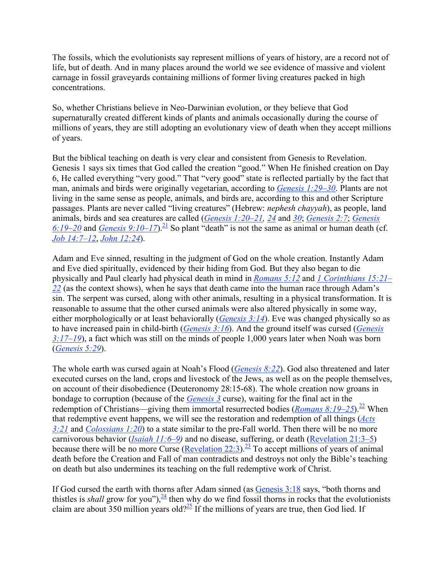The fossils, which the evolutionists say represent millions of years of history, are a record not of life, but of death. And in many places around the world we see evidence of massive and violent carnage in fossil graveyards containing millions of former living creatures packed in high concentrations.

So, whether Christians believe in Neo-Darwinian evolution, or they believe that God supernaturally created different kinds of plants and animals occasionally during the course of millions of years, they are still adopting an evolutionary view of death when they accept millions of years.

But the biblical teaching on death is very clear and consistent from Genesis to Revelation. Genesis 1 says six times that God called the creation "good." When He finished creation on Day 6, He called everything "very good." That "very good" state is reflected partially by the fact that man, animals and birds were originally vegetarian, according to *Genesis 1:29–30*. Plants are not living in the same sense as people, animals, and birds are, according to this and other Scripture passages. Plants are never called "living creatures" (Hebrew: *nephesh chayyah*), as people, land animals, birds and sea creatures are called (*Genesis 1:20–21, 24* and *30*; *Genesis 2:7*; *Genesis*  6:19–20 and *Genesis* 9:10–17).<sup>21</sup> So plant "death" is not the same as animal or human death (cf. *Job 14:7–12*, *John 12:24*).

Adam and Eve sinned, resulting in the judgment of God on the whole creation. Instantly Adam and Eve died spiritually, evidenced by their hiding from God. But they also began to die physically and Paul clearly had physical death in mind in *Romans 5:12* and *1 Corinthians 15:21– 22* (as the context shows), when he says that death came into the human race through Adam's sin. The serpent was cursed, along with other animals, resulting in a physical transformation. It is reasonable to assume that the other cursed animals were also altered physically in some way, either morphologically or at least behaviorally (*Genesis 3:14*). Eve was changed physically so as to have increased pain in child-birth (*Genesis 3:16*). And the ground itself was cursed (*Genesis 3:17–19*), a fact which was still on the minds of people 1,000 years later when Noah was born (*Genesis 5:29*).

The whole earth was cursed again at Noah's Flood (*Genesis 8:22*). God also threatened and later executed curses on the land, crops and livestock of the Jews, as well as on the people themselves, on account of their disobedience (Deuteronomy 28:15-68). The whole creation now groans in bondage to corruption (because of the *Genesis 3* curse), waiting for the final act in the redemption of Christians—giving them immortal resurrected bodies (*Romans 8:19–25*).<sup>22</sup> When that redemptive event happens, we will see the restoration and redemption of all things (*Acts 3:21* and *Colossians 1:20*) to a state similar to the pre-Fall world. Then there will be no more carnivorous behavior (*Isaiah 11:6–9)* and no disease, suffering, or death (Revelation 21:3–5) because there will be no more Curse (Revelation 22:3).<sup>23</sup> To accept millions of years of animal death before the Creation and Fall of man contradicts and destroys not only the Bible's teaching on death but also undermines its teaching on the full redemptive work of Christ.

If God cursed the earth with thorns after Adam sinned (as Genesis 3:18 says, "both thorns and thistles is *shall* grow for you"),  $\frac{24}{3}$  then why do we find fossil thorns in rocks that the evolutionists claim are about 350 million years old?<sup>25</sup> If the millions of years are true, then God lied. If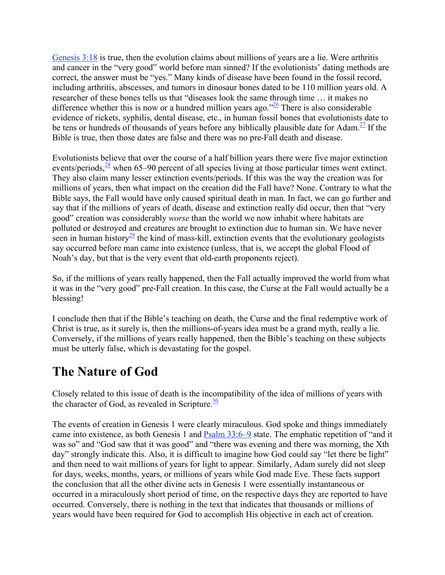Genesis 3:18 is true, then the evolution claims about millions of years are a lie. Were arthritis and cancer in the "very good" world before man sinned? If the evolutionists' dating methods are correct, the answer must be "yes." Many kinds of disease have been found in the fossil record, including arthritis, abscesses, and tumors in dinosaur bones dated to be 110 million years old. A researcher of these bones tells us that "diseases look the same through time … it makes no difference whether this is now or a hundred million years ago.<sup> $26$ </sup> There is also considerable evidence of rickets, syphilis, dental disease, etc., in human fossil bones that evolutionists date to be tens or hundreds of thousands of years before any biblically plausible date for Adam.<sup>27</sup> If the Bible is true, then those dates are false and there was no pre-Fall death and disease.

Evolutionists believe that over the course of a half billion years there were five major extinction events/periods, $\frac{28}{3}$  when 65–90 percent of all species living at those particular times went extinct. They also claim many lesser extinction events/periods. If this was the way the creation was for millions of years, then what impact on the creation did the Fall have? None. Contrary to what the Bible says, the Fall would have only caused spiritual death in man. In fact, we can go further and say that if the millions of years of death, disease and extinction really did occur, then that "very good" creation was considerably *worse* than the world we now inhabit where habitats are polluted or destroyed and creatures are brought to extinction due to human sin. We have never seen in human history<sup>29</sup> the kind of mass-kill, extinction events that the evolutionary geologists say occurred before man came into existence (unless, that is, we accept the global Flood of Noah's day, but that is the very event that old-earth proponents reject).

So, if the millions of years really happened, then the Fall actually improved the world from what it was in the "very good" pre-Fall creation. In this case, the Curse at the Fall would actually be a blessing!

I conclude then that if the Bible's teaching on death, the Curse and the final redemptive work of Christ is true, as it surely is, then the millions-of-years idea must be a grand myth, really a lie. Conversely, if the millions of years really happened, then the Bible's teaching on these subjects must be utterly false, which is devastating for the gospel.

### **The Nature of God**

Closely related to this issue of death is the incompatibility of the idea of millions of years with the character of God, as revealed in Scripture. $\frac{30}{20}$ 

The events of creation in Genesis 1 were clearly miraculous. God spoke and things immediately came into existence, as both Genesis 1 and Psalm 33:6–9 state. The emphatic repetition of "and it was so" and "God saw that it was good" and "there was evening and there was morning, the Xth day" strongly indicate this. Also, it is difficult to imagine how God could say "let there be light" and then need to wait millions of years for light to appear. Similarly, Adam surely did not sleep for days, weeks, months, years, or millions of years while God made Eve. These facts support the conclusion that all the other divine acts in Genesis 1 were essentially instantaneous or occurred in a miraculously short period of time, on the respective days they are reported to have occurred. Conversely, there is nothing in the text that indicates that thousands or millions of years would have been required for God to accomplish His objective in each act of creation.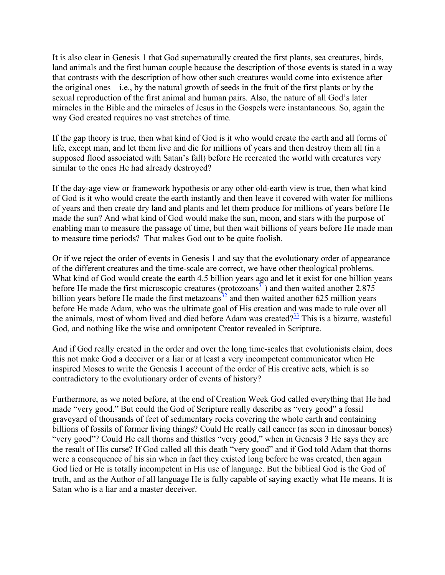It is also clear in Genesis 1 that God supernaturally created the first plants, sea creatures, birds, land animals and the first human couple because the description of those events is stated in a way that contrasts with the description of how other such creatures would come into existence after the original ones—i.e., by the natural growth of seeds in the fruit of the first plants or by the sexual reproduction of the first animal and human pairs. Also, the nature of all God's later miracles in the Bible and the miracles of Jesus in the Gospels were instantaneous. So, again the way God created requires no vast stretches of time.

If the gap theory is true, then what kind of God is it who would create the earth and all forms of life, except man, and let them live and die for millions of years and then destroy them all (in a supposed flood associated with Satan's fall) before He recreated the world with creatures very similar to the ones He had already destroyed?

If the day-age view or framework hypothesis or any other old-earth view is true, then what kind of God is it who would create the earth instantly and then leave it covered with water for millions of years and then create dry land and plants and let them produce for millions of years before He made the sun? And what kind of God would make the sun, moon, and stars with the purpose of enabling man to measure the passage of time, but then wait billions of years before He made man to measure time periods? That makes God out to be quite foolish.

Or if we reject the order of events in Genesis 1 and say that the evolutionary order of appearance of the different creatures and the time-scale are correct, we have other theological problems. What kind of God would create the earth 4.5 billion years ago and let it exist for one billion years before He made the first microscopic creatures (protozoans $\frac{31}{2}$ ) and then waited another 2.875 billion years before He made the first metazoans $\frac{32}{2}$  and then waited another 625 million years before He made Adam, who was the ultimate goal of His creation and was made to rule over all the animals, most of whom lived and died before Adam was created? $\frac{33}{2}$  This is a bizarre, wasteful God, and nothing like the wise and omnipotent Creator revealed in Scripture.

And if God really created in the order and over the long time-scales that evolutionists claim, does this not make God a deceiver or a liar or at least a very incompetent communicator when He inspired Moses to write the Genesis 1 account of the order of His creative acts, which is so contradictory to the evolutionary order of events of history?

Furthermore, as we noted before, at the end of Creation Week God called everything that He had made "very good." But could the God of Scripture really describe as "very good" a fossil graveyard of thousands of feet of sedimentary rocks covering the whole earth and containing billions of fossils of former living things? Could He really call cancer (as seen in dinosaur bones) "very good"? Could He call thorns and thistles "very good," when in Genesis 3 He says they are the result of His curse? If God called all this death "very good" and if God told Adam that thorns were a consequence of his sin when in fact they existed long before he was created, then again God lied or He is totally incompetent in His use of language. But the biblical God is the God of truth, and as the Author of all language He is fully capable of saying exactly what He means. It is Satan who is a liar and a master deceiver.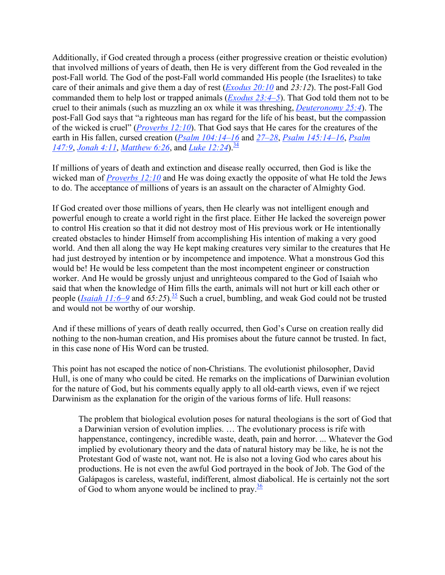Additionally, if God created through a process (either progressive creation or theistic evolution) that involved millions of years of death, then He is very different from the God revealed in the post-Fall world. The God of the post-Fall world commanded His people (the Israelites) to take care of their animals and give them a day of rest (*Exodus 20:10* and *23:12*). The post-Fall God commanded them to help lost or trapped animals (*Exodus 23:4–5*). That God told them not to be cruel to their animals (such as muzzling an ox while it was threshing, *Deuteronomy 25:4*). The post-Fall God says that "a righteous man has regard for the life of his beast, but the compassion of the wicked is cruel" (*Proverbs 12:10*). That God says that He cares for the creatures of the earth in His fallen, cursed creation (*Psalm 104:14–16* and *27–28*, *Psalm 145:14–16*, *Psalm 147:9, Jonah 4:11, Matthew 6:26, and Luke 12:24*).<sup>34</sup>

If millions of years of death and extinction and disease really occurred, then God is like the wicked man of *Proverbs 12:10* and He was doing exactly the opposite of what He told the Jews to do. The acceptance of millions of years is an assault on the character of Almighty God.

If God created over those millions of years, then He clearly was not intelligent enough and powerful enough to create a world right in the first place. Either He lacked the sovereign power to control His creation so that it did not destroy most of His previous work or He intentionally created obstacles to hinder Himself from accomplishing His intention of making a very good world. And then all along the way He kept making creatures very similar to the creatures that He had just destroyed by intention or by incompetence and impotence. What a monstrous God this would be! He would be less competent than the most incompetent engineer or construction worker. And He would be grossly unjust and unrighteous compared to the God of Isaiah who said that when the knowledge of Him fills the earth, animals will not hurt or kill each other or people (*Isaiah 11:6–9* and  $65:25$ ).<sup>35</sup> Such a cruel, bumbling, and weak God could not be trusted and would not be worthy of our worship.

And if these millions of years of death really occurred, then God's Curse on creation really did nothing to the non-human creation, and His promises about the future cannot be trusted. In fact, in this case none of His Word can be trusted.

This point has not escaped the notice of non-Christians. The evolutionist philosopher, David Hull, is one of many who could be cited. He remarks on the implications of Darwinian evolution for the nature of God, but his comments equally apply to all old-earth views, even if we reject Darwinism as the explanation for the origin of the various forms of life. Hull reasons:

The problem that biological evolution poses for natural theologians is the sort of God that a Darwinian version of evolution implies. … The evolutionary process is rife with happenstance, contingency, incredible waste, death, pain and horror. ... Whatever the God implied by evolutionary theory and the data of natural history may be like, he is not the Protestant God of waste not, want not. He is also not a loving God who cares about his productions. He is not even the awful God portrayed in the book of Job. The God of the Galápagos is careless, wasteful, indifferent, almost diabolical. He is certainly not the sort of God to whom anyone would be inclined to pray. $\frac{36}{2}$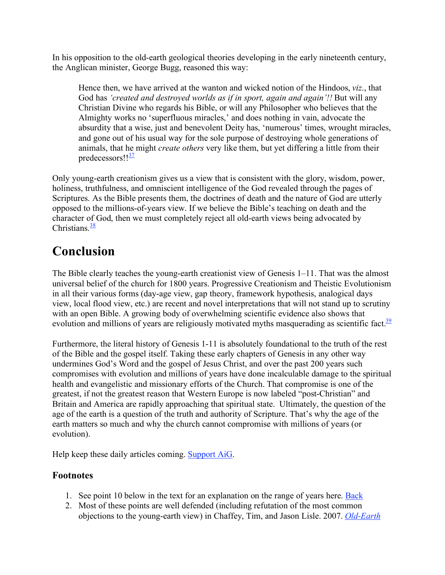In his opposition to the old-earth geological theories developing in the early nineteenth century, the Anglican minister, George Bugg, reasoned this way:

Hence then, we have arrived at the wanton and wicked notion of the Hindoos, *viz*., that God has *'created and destroyed worlds as if in sport, again and again'!!* But will any Christian Divine who regards his Bible, or will any Philosopher who believes that the Almighty works no 'superfluous miracles,' and does nothing in vain, advocate the absurdity that a wise, just and benevolent Deity has, 'numerous' times, wrought miracles, and gone out of his usual way for the sole purpose of destroying whole generations of animals, that he might *create others* very like them, but yet differing a little from their predecessors!!<sup>37</sup>

Only young-earth creationism gives us a view that is consistent with the glory, wisdom, power, holiness, truthfulness, and omniscient intelligence of the God revealed through the pages of Scriptures. As the Bible presents them, the doctrines of death and the nature of God are utterly opposed to the millions-of-years view. If we believe the Bible's teaching on death and the character of God, then we must completely reject all old-earth views being advocated by Christians.<sup>38</sup>

# **Conclusion**

The Bible clearly teaches the young-earth creationist view of Genesis 1–11. That was the almost universal belief of the church for 1800 years. Progressive Creationism and Theistic Evolutionism in all their various forms (day-age view, gap theory, framework hypothesis, analogical days view, local flood view, etc.) are recent and novel interpretations that will not stand up to scrutiny with an open Bible. A growing body of overwhelming scientific evidence also shows that evolution and millions of years are religiously motivated myths masquerading as scientific fact.<sup>39</sup>

Furthermore, the literal history of Genesis 1-11 is absolutely foundational to the truth of the rest of the Bible and the gospel itself. Taking these early chapters of Genesis in any other way undermines God's Word and the gospel of Jesus Christ, and over the past 200 years such compromises with evolution and millions of years have done incalculable damage to the spiritual health and evangelistic and missionary efforts of the Church. That compromise is one of the greatest, if not the greatest reason that Western Europe is now labeled "post-Christian" and Britain and America are rapidly approaching that spiritual state. Ultimately, the question of the age of the earth is a question of the truth and authority of Scripture. That's why the age of the earth matters so much and why the church cannot compromise with millions of years (or evolution).

Help keep these daily articles coming. Support AiG.

#### **Footnotes**

- 1. See point 10 below in the text for an explanation on the range of years here. Back
- 2. Most of these points are well defended (including refutation of the most common objections to the young-earth view) in Chaffey, Tim, and Jason Lisle. 2007. *Old-Earth*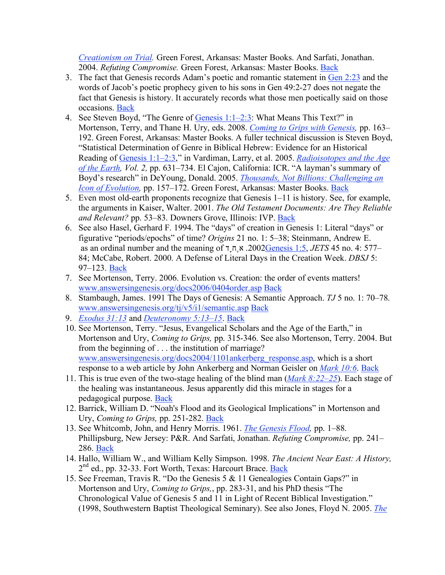*Creationism on Trial.* Green Forest, Arkansas: Master Books. And Sarfati, Jonathan. 2004. *Refuting Compromise.* Green Forest, Arkansas: Master Books. Back

- 3. The fact that Genesis records Adam's poetic and romantic statement in Gen 2:23 and the words of Jacob's poetic prophecy given to his sons in Gen 49:2-27 does not negate the fact that Genesis is history. It accurately records what those men poetically said on those occasions. Back
- 4. See Steven Boyd, "The Genre of Genesis 1:1–2:3: What Means This Text?" in Mortenson, Terry, and Thane H. Ury, eds. 2008. *Coming to Grips with Genesis,* pp. 163– 192. Green Forest, Arkansas: Master Books. A fuller technical discussion is Steven Boyd, "Statistical Determination of Genre in Biblical Hebrew: Evidence for an Historical Reading of Genesis 1:1–2:3," in Vardiman, Larry, et al. 2005. *Radioisotopes and the Age of the Earth, Vol. 2,* pp. 631–734. El Cajon, California: ICR. "A layman's summary of Boyd's research" in DeYoung, Donald. 2005. *Thousands, Not Billions: Challenging an Icon of Evolution,* pp. 157–172. Green Forest, Arkansas: Master Books. Back
- 5. Even most old-earth proponents recognize that Genesis 1–11 is history. See, for example, the arguments in Kaiser, Walter. 2001. *The Old Testament Documents: Are They Reliable and Relevant?* pp. 53–83. Downers Grove, Illinois: IVP. Back
- 6. See also Hasel, Gerhard F. 1994. The "days" of creation in Genesis 1: Literal "days" or figurative "periods/epochs" of time? *Origins* 21 no. 1: 5–38; Steinmann, Andrew E. as an ordinal number and the meaning of דָחֶא .2002Genesis 1:5, *JETS* 45 no. 4: 577– 84; McCabe, Robert. 2000. A Defense of Literal Days in the Creation Week. *DBSJ* 5: 97–123. Back
- 7. See Mortenson, Terry. 2006. Evolution vs. Creation: the order of events matters! www.answersingenesis.org/docs2006/0404order.asp Back
- 8. Stambaugh, James. 1991 The Days of Genesis: A Semantic Approach. *TJ* 5 no. 1: 70–78. www.answersingenesis.org/tj/v5/i1/semantic.asp Back
- 9. *Exodus 31:13* and *Deuteronomy 5:13–15*. Back
- 10. See Mortenson, Terry. "Jesus, Evangelical Scholars and the Age of the Earth," in Mortenson and Ury, *Coming to Grips,* pp. 315-346. See also Mortenson, Terry. 2004. But from the beginning of . . . the institution of marriage? www.answersingenesis.org/docs2004/1101ankerberg\_response.asp, which is a short response to a web article by John Ankerberg and Norman Geisler on *Mark 10:6*. Back
- 11. This is true even of the two-stage healing of the blind man (*Mark 8:22–25*). Each stage of the healing was instantaneous. Jesus apparently did this miracle in stages for a pedagogical purpose. Back
- 12. Barrick, William D. "Noah's Flood and its Geological Implications" in Mortenson and Ury, *Coming to Grips,* pp. 251-282. Back
- 13. See Whitcomb, John, and Henry Morris. 1961. *The Genesis Flood,* pp. 1–88. Phillipsburg, New Jersey: P&R. And Sarfati, Jonathan. *Refuting Compromise,* pp. 241– 286. Back
- 14. Hallo, William W., and William Kelly Simpson. 1998. *The Ancient Near East: A History,* 2<sup>nd</sup> ed., pp. 32-33. Fort Worth, Texas: Harcourt Brace. Back
- 15. See Freeman, Travis R. "Do the Genesis 5 & 11 Genealogies Contain Gaps?" in Mortenson and Ury, *Coming to Grips,*, pp. 283-31, and his PhD thesis "The Chronological Value of Genesis 5 and 11 in Light of Recent Biblical Investigation." (1998, Southwestern Baptist Theological Seminary). See also Jones, Floyd N. 2005. *The*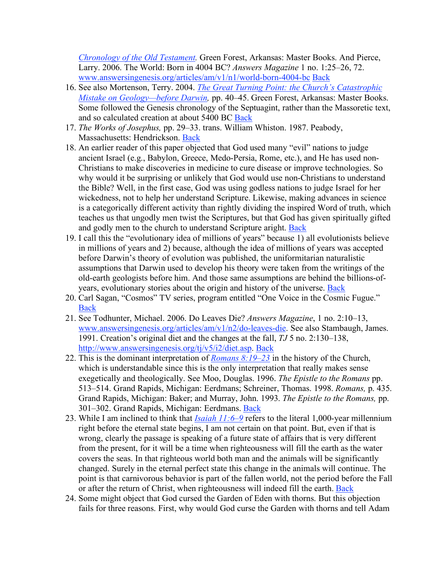*Chronology of the Old Testament.* Green Forest, Arkansas: Master Books. And Pierce, Larry. 2006. The World: Born in 4004 BC? *Answers Magazine* 1 no. 1:25–26, 72. www.answersingenesis.org/articles/am/v1/n1/world-born-4004-bc Back

- 16. See also Mortenson, Terry. 2004. *The Great Turning Point: the Church's Catastrophic Mistake on Geology—before Darwin,* pp. 40–45. Green Forest, Arkansas: Master Books. Some followed the Genesis chronology of the Septuagint, rather than the Massoretic text, and so calculated creation at about 5400 BC Back
- 17. *The Works of Josephus,* pp. 29–33. trans. William Whiston. 1987. Peabody, Massachusetts: Hendrickson. Back
- 18. An earlier reader of this paper objected that God used many "evil" nations to judge ancient Israel (e.g., Babylon, Greece, Medo-Persia, Rome, etc.), and He has used non-Christians to make discoveries in medicine to cure disease or improve technologies. So why would it be surprising or unlikely that God would use non-Christians to understand the Bible? Well, in the first case, God was using godless nations to judge Israel for her wickedness, not to help her understand Scripture. Likewise, making advances in science is a categorically different activity than rightly dividing the inspired Word of truth, which teaches us that ungodly men twist the Scriptures, but that God has given spiritually gifted and godly men to the church to understand Scripture aright. Back
- 19. I call this the "evolutionary idea of millions of years" because 1) all evolutionists believe in millions of years and 2) because, although the idea of millions of years was accepted before Darwin's theory of evolution was published, the uniformitarian naturalistic assumptions that Darwin used to develop his theory were taken from the writings of the old-earth geologists before him. And those same assumptions are behind the billions-ofyears, evolutionary stories about the origin and history of the universe. Back
- 20. Carl Sagan, "Cosmos" TV series, program entitled "One Voice in the Cosmic Fugue." Back
- 21. See Todhunter, Michael. 2006. Do Leaves Die? *Answers Magazine*, 1 no. 2:10–13, www.answersingenesis.org/articles/am/v1/n2/do-leaves-die. See also Stambaugh, James. 1991. Creation's original diet and the changes at the fall, *TJ* 5 no. 2:130–138, http://www.answersingenesis.org/tj/v5/i2/diet.asp. Back
- 22. This is the dominant interpretation of *Romans 8:19–23* in the history of the Church, which is understandable since this is the only interpretation that really makes sense exegetically and theologically. See Moo, Douglas. 1996. *The Epistle to the Romans* pp. 513–514. Grand Rapids, Michigan: Eerdmans; Schreiner, Thomas. 1998. *Romans,* p. 435. Grand Rapids, Michigan: Baker; and Murray, John. 1993. *The Epistle to the Romans,* pp. 301–302. Grand Rapids, Michigan: Eerdmans. Back
- 23. While I am inclined to think that *Isaiah 11:6–9* refers to the literal 1,000-year millennium right before the eternal state begins, I am not certain on that point. But, even if that is wrong, clearly the passage is speaking of a future state of affairs that is very different from the present, for it will be a time when righteousness will fill the earth as the water covers the seas. In that righteous world both man and the animals will be significantly changed. Surely in the eternal perfect state this change in the animals will continue. The point is that carnivorous behavior is part of the fallen world, not the period before the Fall or after the return of Christ, when righteousness will indeed fill the earth. Back
- 24. Some might object that God cursed the Garden of Eden with thorns. But this objection fails for three reasons. First, why would God curse the Garden with thorns and tell Adam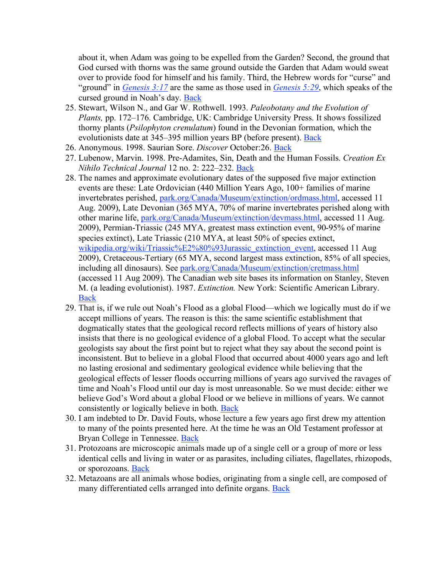about it, when Adam was going to be expelled from the Garden? Second, the ground that God cursed with thorns was the same ground outside the Garden that Adam would sweat over to provide food for himself and his family. Third, the Hebrew words for "curse" and "ground" in *Genesis 3:17* are the same as those used in *Genesis 5:29*, which speaks of the cursed ground in Noah's day. Back

- 25. Stewart, Wilson N., and Gar W. Rothwell. 1993. *Paleobotany and the Evolution of Plants,* pp. 172–176. Cambridge, UK: Cambridge University Press. It shows fossilized thorny plants (*Psilophyton crenulatum*) found in the Devonian formation, which the evolutionists date at 345–395 million years BP (before present). Back
- 26. Anonymous. 1998. Saurian Sore. *Discover* October:26. Back
- 27. Lubenow, Marvin. 1998. Pre-Adamites, Sin, Death and the Human Fossils. *Creation Ex Nihilo Technical Journal* 12 no. 2: 222–232. Back
- 28. The names and approximate evolutionary dates of the supposed five major extinction events are these: Late Ordovician (440 Million Years Ago, 100+ families of marine invertebrates perished, park.org/Canada/Museum/extinction/ordmass.html, accessed 11 Aug. 2009), Late Devonian (365 MYA, 70% of marine invertebrates perished along with other marine life, park.org/Canada/Museum/extinction/devmass.html, accessed 11 Aug. 2009), Permian-Triassic (245 MYA, greatest mass extinction event, 90-95% of marine species extinct), Late Triassic (210 MYA, at least 50% of species extinct, wikipedia.org/wiki/Triassic%E2%80%93Jurassic\_extinction\_event, accessed 11 Aug 2009), Cretaceous-Tertiary (65 MYA, second largest mass extinction, 85% of all species, including all dinosaurs). See park.org/Canada/Museum/extinction/cretmass.html (accessed 11 Aug 2009). The Canadian web site bases its information on Stanley, Steven M. (a leading evolutionist). 1987. *Extinction.* New York: Scientific American Library. Back
- 29. That is, if we rule out Noah's Flood as a global Flood—which we logically must do if we accept millions of years. The reason is this: the same scientific establishment that dogmatically states that the geological record reflects millions of years of history also insists that there is no geological evidence of a global Flood. To accept what the secular geologists say about the first point but to reject what they say about the second point is inconsistent. But to believe in a global Flood that occurred about 4000 years ago and left no lasting erosional and sedimentary geological evidence while believing that the geological effects of lesser floods occurring millions of years ago survived the ravages of time and Noah's Flood until our day is most unreasonable. So we must decide: either we believe God's Word about a global Flood or we believe in millions of years. We cannot consistently or logically believe in both. Back
- 30. I am indebted to Dr. David Fouts, whose lecture a few years ago first drew my attention to many of the points presented here. At the time he was an Old Testament professor at Bryan College in Tennessee. Back
- 31. Protozoans are microscopic animals made up of a single cell or a group of more or less identical cells and living in water or as parasites, including ciliates, flagellates, rhizopods, or sporozoans. Back
- 32. Metazoans are all animals whose bodies, originating from a single cell, are composed of many differentiated cells arranged into definite organs. Back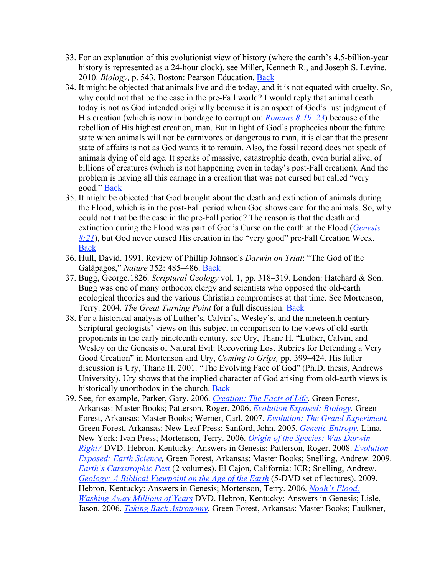- 33. For an explanation of this evolutionist view of history (where the earth's 4.5-billion-year history is represented as a 24-hour clock), see Miller, Kenneth R., and Joseph S. Levine. 2010. *Biology,* p. 543. Boston: Pearson Education. Back
- 34. It might be objected that animals live and die today, and it is not equated with cruelty. So, why could not that be the case in the pre-Fall world? I would reply that animal death today is not as God intended originally because it is an aspect of God's just judgment of His creation (which is now in bondage to corruption: *Romans 8:19–23*) because of the rebellion of His highest creation, man. But in light of God's prophecies about the future state when animals will not be carnivores or dangerous to man, it is clear that the present state of affairs is not as God wants it to remain. Also, the fossil record does not speak of animals dying of old age. It speaks of massive, catastrophic death, even burial alive, of billions of creatures (which is not happening even in today's post-Fall creation). And the problem is having all this carnage in a creation that was not cursed but called "very good." Back
- 35. It might be objected that God brought about the death and extinction of animals during the Flood, which is in the post-Fall period when God shows care for the animals. So, why could not that be the case in the pre-Fall period? The reason is that the death and extinction during the Flood was part of God's Curse on the earth at the Flood (*Genesis 8:21*), but God never cursed His creation in the "very good" pre-Fall Creation Week. **Back**
- 36. Hull, David. 1991. Review of Phillip Johnson's *Darwin on Trial*: "The God of the Galápagos," *Nature* 352: 485–486. Back
- 37. Bugg, George.1826. *Scriptural Geology* vol. 1, pp. 318–319. London: Hatchard & Son. Bugg was one of many orthodox clergy and scientists who opposed the old-earth geological theories and the various Christian compromises at that time. See Mortenson, Terry. 2004. *The Great Turning Point* for a full discussion. Back
- 38. For a historical analysis of Luther's, Calvin's, Wesley's, and the nineteenth century Scriptural geologists' views on this subject in comparison to the views of old-earth proponents in the early nineteenth century, see Ury, Thane H. "Luther, Calvin, and Wesley on the Genesis of Natural Evil: Recovering Lost Rubrics for Defending a Very Good Creation" in Mortenson and Ury, *Coming to Grips,* pp. 399–424. His fuller discussion is Ury, Thane H. 2001. "The Evolving Face of God" (Ph.D. thesis, Andrews University). Ury shows that the implied character of God arising from old-earth views is historically unorthodox in the church. Back
- 39. See, for example, Parker, Gary. 2006. *Creation: The Facts of Life.* Green Forest, Arkansas: Master Books; Patterson, Roger. 2006. *Evolution Exposed: Biology.* Green Forest, Arkansas: Master Books; Werner, Carl. 2007. *Evolution: The Grand Experiment.* Green Forest, Arkansas: New Leaf Press; Sanford, John. 2005. *Genetic Entropy.* Lima, New York: Ivan Press; Mortenson, Terry. 2006. *Origin of the Species: Was Darwin Right?* DVD. Hebron, Kentucky: Answers in Genesis; Patterson, Roger. 2008. *Evolution Exposed: Earth Science,* Green Forest, Arkansas: Master Books; Snelling, Andrew. 2009. *Earth's Catastrophic Past* (2 volumes). El Cajon, California: ICR; Snelling, Andrew. *Geology: A Biblical Viewpoint on the Age of the Earth* (5-DVD set of lectures). 2009. Hebron, Kentucky: Answers in Genesis; Mortenson, Terry. 2006. *Noah's Flood: Washing Away Millions of Years* DVD. Hebron, Kentucky: Answers in Genesis; Lisle, Jason. 2006. *Taking Back Astronomy*. Green Forest, Arkansas: Master Books; Faulkner,